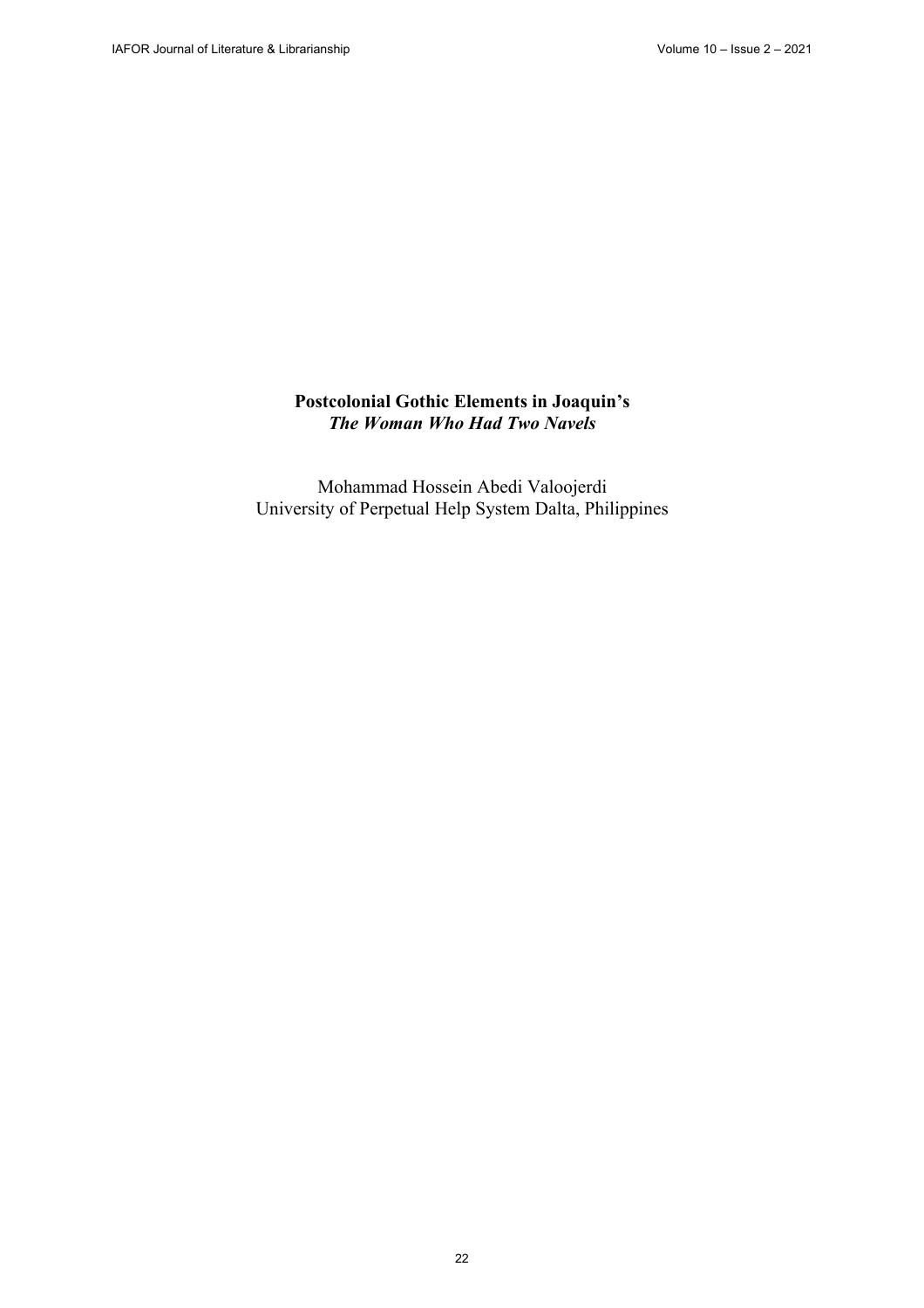# **Postcolonial Gothic Elements in Joaquin's**  *The Woman Who Had Two Navels*

Mohammad Hossein Abedi Valoojerdi University of Perpetual Help System Dalta, Philippines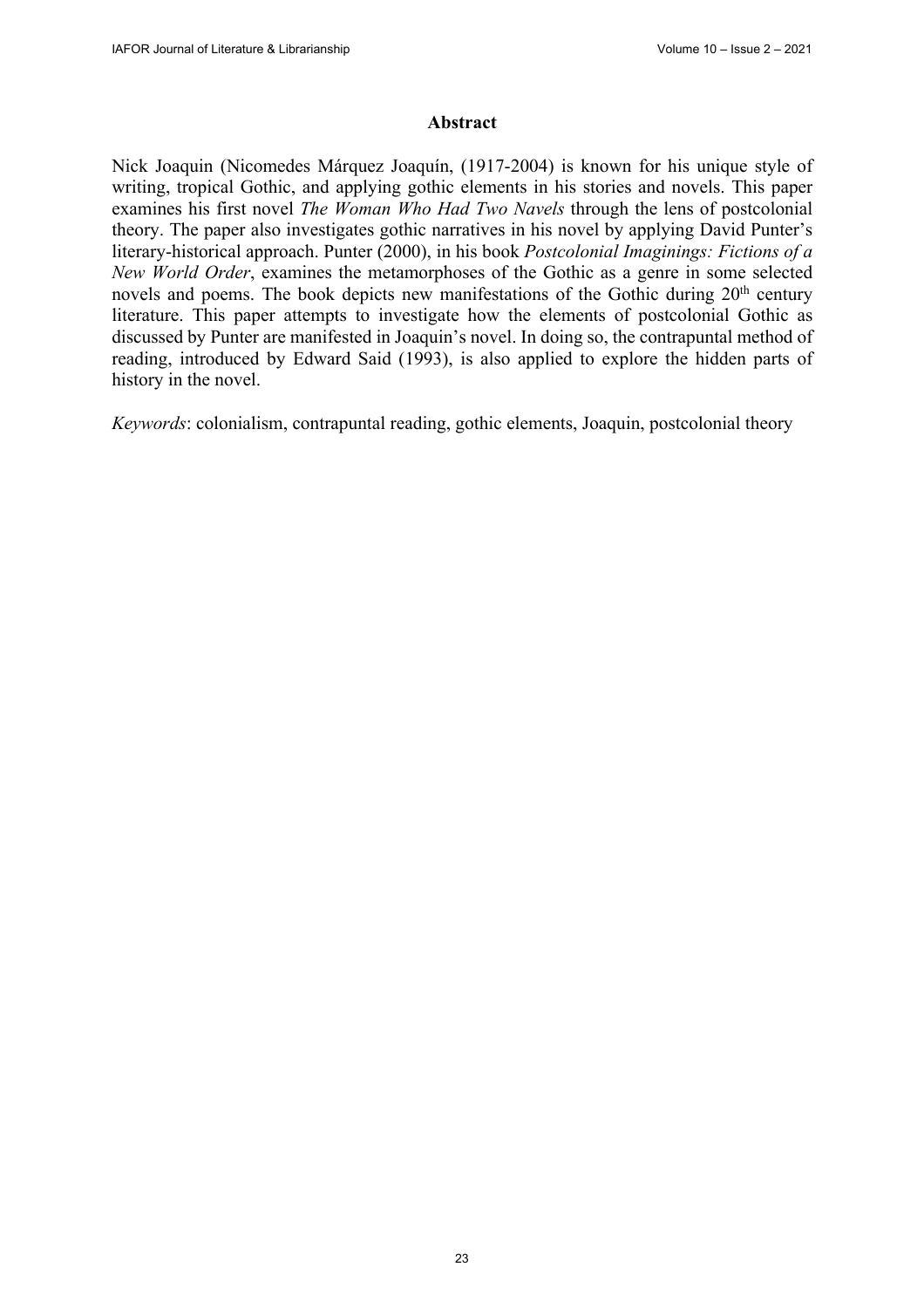#### **Abstract**

Nick Joaquin (Nicomedes Márquez Joaquín, (1917-2004) is known for his unique style of writing, tropical Gothic, and applying gothic elements in his stories and novels. This paper examines his first novel *The Woman Who Had Two Navels* through the lens of postcolonial theory. The paper also investigates gothic narratives in his novel by applying David Punter's literary-historical approach. Punter (2000), in his book *Postcolonial Imaginings: Fictions of a New World Order*, examines the metamorphoses of the Gothic as a genre in some selected novels and poems. The book depicts new manifestations of the Gothic during  $20<sup>th</sup>$  century literature. This paper attempts to investigate how the elements of postcolonial Gothic as discussed by Punter are manifested in Joaquin's novel. In doing so, the contrapuntal method of reading, introduced by Edward Said (1993), is also applied to explore the hidden parts of history in the novel.

*Keywords*: colonialism, contrapuntal reading, gothic elements, Joaquin, postcolonial theory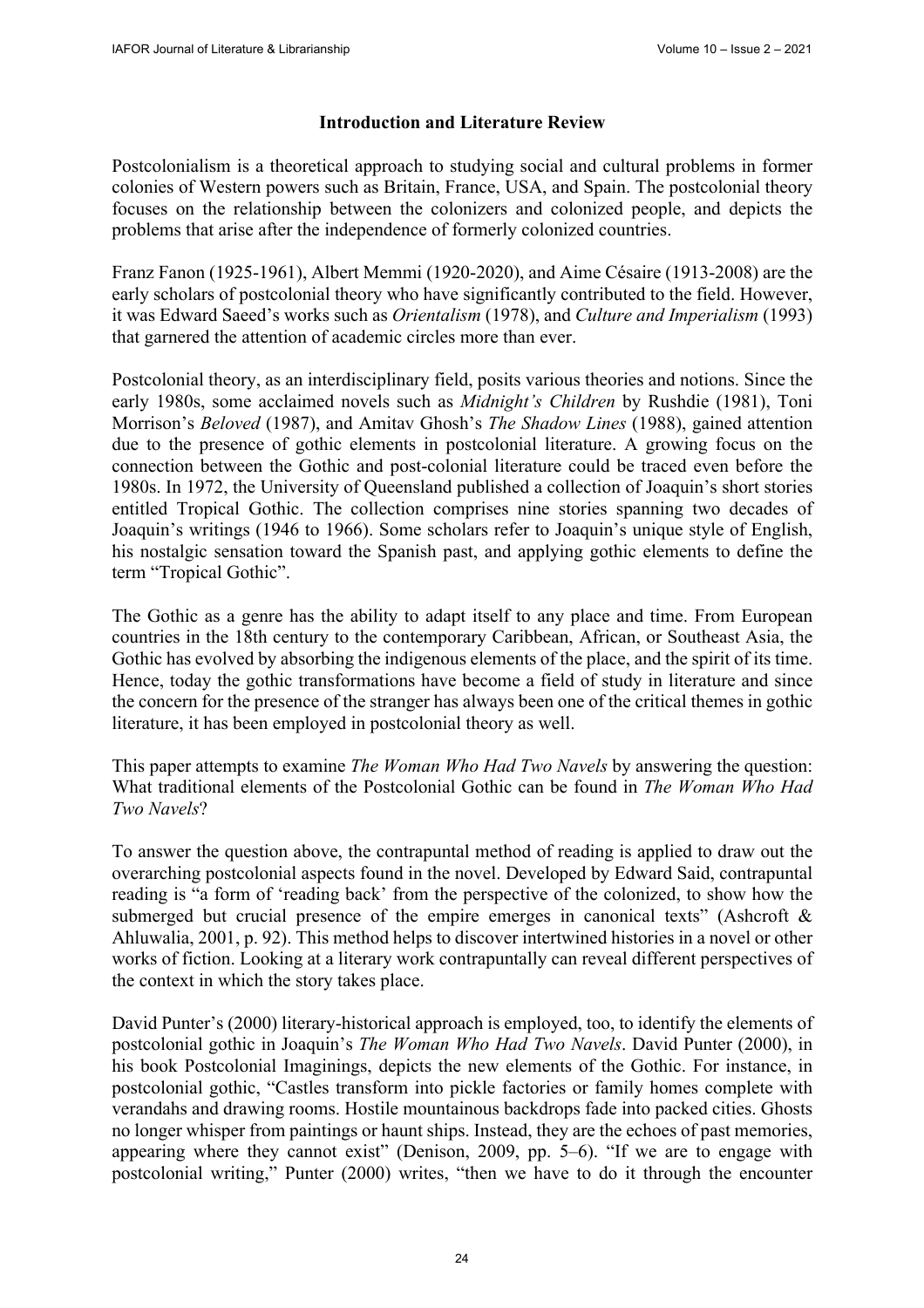# **Introduction and Literature Review**

Postcolonialism is a theoretical approach to studying social and cultural problems in former colonies of Western powers such as Britain, France, USA, and Spain. The postcolonial theory focuses on the relationship between the colonizers and colonized people, and depicts the problems that arise after the independence of formerly colonized countries.

Franz Fanon (1925-1961), Albert Memmi (1920-2020), and Aime Césaire (1913-2008) are the early scholars of postcolonial theory who have significantly contributed to the field. However, it was Edward Saeed's works such as *Orientalism* (1978), and *Culture and Imperialism* (1993) that garnered the attention of academic circles more than ever.

Postcolonial theory, as an interdisciplinary field, posits various theories and notions. Since the early 1980s, some acclaimed novels such as *Midnight's Children* by Rushdie (1981), Toni Morrison's *Beloved* (1987), and Amitav Ghosh's *The Shadow Lines* (1988), gained attention due to the presence of gothic elements in postcolonial literature. A growing focus on the connection between the Gothic and post-colonial literature could be traced even before the 1980s. In 1972, the University of Queensland published a collection of Joaquin's short stories entitled Tropical Gothic. The collection comprises nine stories spanning two decades of Joaquin's writings (1946 to 1966). Some scholars refer to Joaquin's unique style of English, his nostalgic sensation toward the Spanish past, and applying gothic elements to define the term "Tropical Gothic".

The Gothic as a genre has the ability to adapt itself to any place and time. From European countries in the 18th century to the contemporary Caribbean, African, or Southeast Asia, the Gothic has evolved by absorbing the indigenous elements of the place, and the spirit of its time. Hence, today the gothic transformations have become a field of study in literature and since the concern for the presence of the stranger has always been one of the critical themes in gothic literature, it has been employed in postcolonial theory as well.

This paper attempts to examine *The Woman Who Had Two Navels* by answering the question: What traditional elements of the Postcolonial Gothic can be found in *The Woman Who Had Two Navels*?

To answer the question above, the contrapuntal method of reading is applied to draw out the overarching postcolonial aspects found in the novel. Developed by Edward Said, contrapuntal reading is "a form of 'reading back' from the perspective of the colonized, to show how the submerged but crucial presence of the empire emerges in canonical texts" (Ashcroft & Ahluwalia, 2001, p. 92). This method helps to discover intertwined histories in a novel or other works of fiction. Looking at a literary work contrapuntally can reveal different perspectives of the context in which the story takes place.

David Punter's (2000) literary-historical approach is employed, too, to identify the elements of postcolonial gothic in Joaquin's *The Woman Who Had Two Navels*. David Punter (2000), in his book Postcolonial Imaginings, depicts the new elements of the Gothic. For instance, in postcolonial gothic, "Castles transform into pickle factories or family homes complete with verandahs and drawing rooms. Hostile mountainous backdrops fade into packed cities. Ghosts no longer whisper from paintings or haunt ships. Instead, they are the echoes of past memories, appearing where they cannot exist" (Denison, 2009, pp. 5–6). "If we are to engage with postcolonial writing," Punter (2000) writes, "then we have to do it through the encounter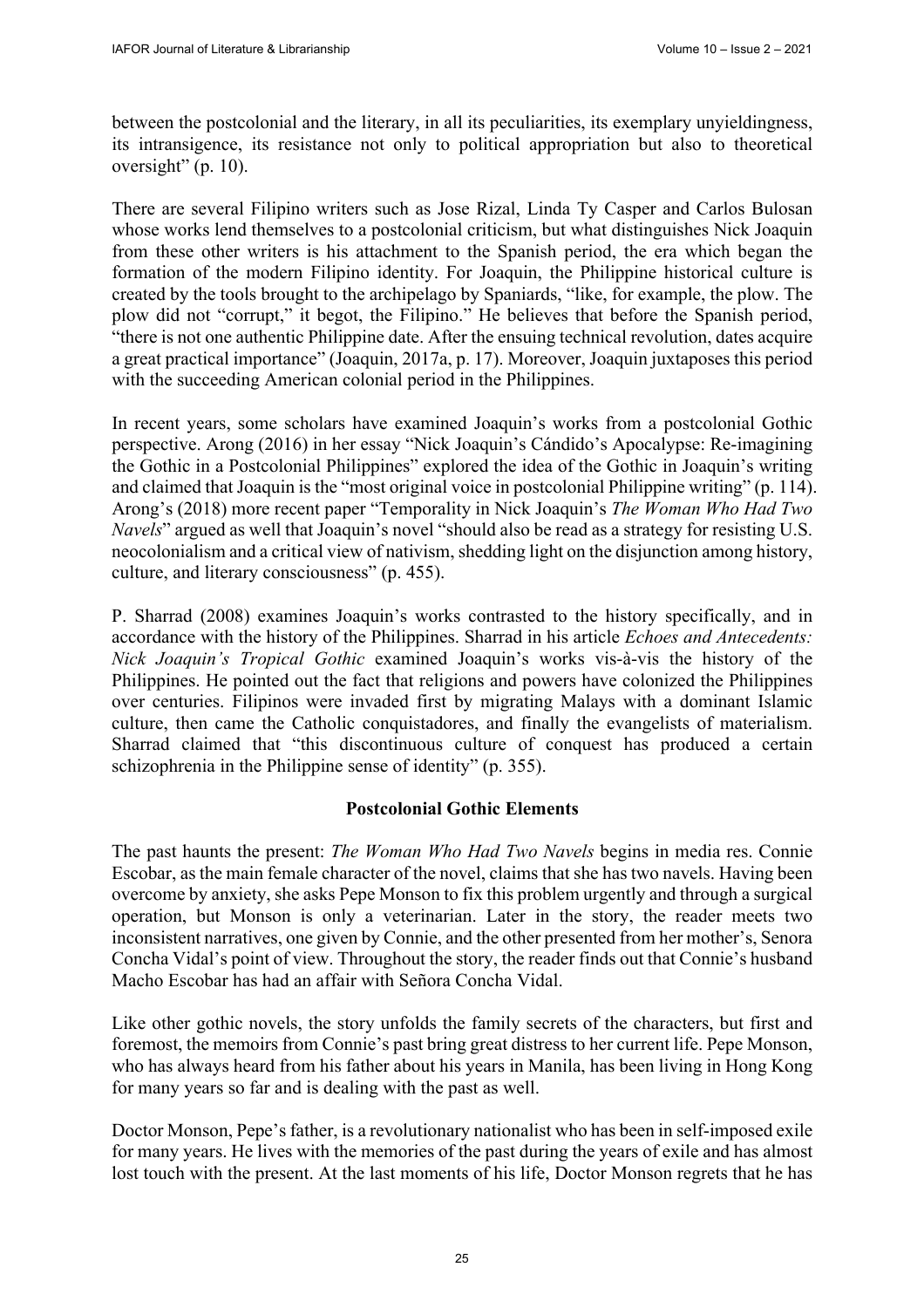between the postcolonial and the literary, in all its peculiarities, its exemplary unyieldingness, its intransigence, its resistance not only to political appropriation but also to theoretical oversight" (p. 10).

There are several Filipino writers such as Jose Rizal, Linda Ty Casper and Carlos Bulosan whose works lend themselves to a postcolonial criticism, but what distinguishes Nick Joaquin from these other writers is his attachment to the Spanish period, the era which began the formation of the modern Filipino identity. For Joaquin, the Philippine historical culture is created by the tools brought to the archipelago by Spaniards, "like, for example, the plow. The plow did not "corrupt," it begot, the Filipino." He believes that before the Spanish period, "there is not one authentic Philippine date. After the ensuing technical revolution, dates acquire a great practical importance" (Joaquin, 2017a, p. 17). Moreover, Joaquin juxtaposes this period with the succeeding American colonial period in the Philippines.

In recent years, some scholars have examined Joaquin's works from a postcolonial Gothic perspective. Arong (2016) in her essay "Nick Joaquin's Cándido's Apocalypse: Re-imagining the Gothic in a Postcolonial Philippines" explored the idea of the Gothic in Joaquin's writing and claimed that Joaquin is the "most original voice in postcolonial Philippine writing" (p. 114). Arong's (2018) more recent paper "Temporality in Nick Joaquin's *The Woman Who Had Two Navels*" argued as well that Joaquin's novel "should also be read as a strategy for resisting U.S. neocolonialism and a critical view of nativism, shedding light on the disjunction among history, culture, and literary consciousness" (p. 455).

P. Sharrad (2008) examines Joaquin's works contrasted to the history specifically, and in accordance with the history of the Philippines. Sharrad in his article *Echoes and Antecedents: Nick Joaquin's Tropical Gothic* examined Joaquin's works vis-à-vis the history of the Philippines. He pointed out the fact that religions and powers have colonized the Philippines over centuries. Filipinos were invaded first by migrating Malays with a dominant Islamic culture, then came the Catholic conquistadores, and finally the evangelists of materialism. Sharrad claimed that "this discontinuous culture of conquest has produced a certain schizophrenia in the Philippine sense of identity" (p. 355).

## **Postcolonial Gothic Elements**

The past haunts the present: *The Woman Who Had Two Navels* begins in media res. Connie Escobar, as the main female character of the novel, claims that she has two navels. Having been overcome by anxiety, she asks Pepe Monson to fix this problem urgently and through a surgical operation, but Monson is only a veterinarian. Later in the story, the reader meets two inconsistent narratives, one given by Connie, and the other presented from her mother's, Senora Concha Vidal's point of view. Throughout the story, the reader finds out that Connie's husband Macho Escobar has had an affair with Señora Concha Vidal.

Like other gothic novels, the story unfolds the family secrets of the characters, but first and foremost, the memoirs from Connie's past bring great distress to her current life. Pepe Monson, who has always heard from his father about his years in Manila, has been living in Hong Kong for many years so far and is dealing with the past as well.

Doctor Monson, Pepe's father, is a revolutionary nationalist who has been in self-imposed exile for many years. He lives with the memories of the past during the years of exile and has almost lost touch with the present. At the last moments of his life, Doctor Monson regrets that he has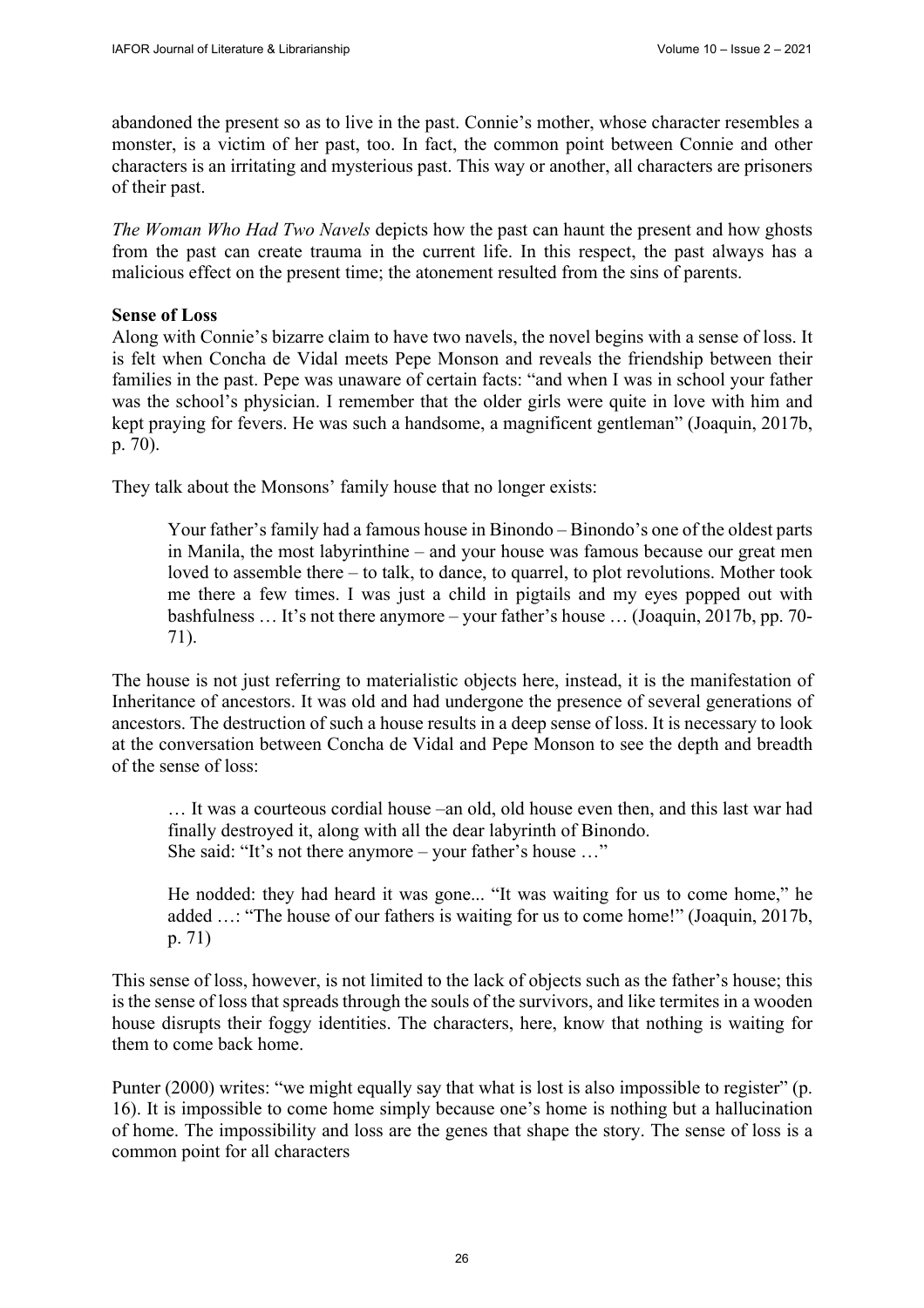abandoned the present so as to live in the past. Connie's mother, whose character resembles a monster, is a victim of her past, too. In fact, the common point between Connie and other characters is an irritating and mysterious past. This way or another, all characters are prisoners of their past.

*The Woman Who Had Two Navels* depicts how the past can haunt the present and how ghosts from the past can create trauma in the current life. In this respect, the past always has a malicious effect on the present time; the atonement resulted from the sins of parents.

### **Sense of Loss**

Along with Connie's bizarre claim to have two navels, the novel begins with a sense of loss. It is felt when Concha de Vidal meets Pepe Monson and reveals the friendship between their families in the past. Pepe was unaware of certain facts: "and when I was in school your father was the school's physician. I remember that the older girls were quite in love with him and kept praying for fevers. He was such a handsome, a magnificent gentleman" (Joaquin, 2017b, p. 70).

They talk about the Monsons' family house that no longer exists:

Your father's family had a famous house in Binondo – Binondo's one of the oldest parts in Manila, the most labyrinthine – and your house was famous because our great men loved to assemble there – to talk, to dance, to quarrel, to plot revolutions. Mother took me there a few times. I was just a child in pigtails and my eyes popped out with bashfulness … It's not there anymore – your father's house … (Joaquin, 2017b, pp. 70- 71).

The house is not just referring to materialistic objects here, instead, it is the manifestation of Inheritance of ancestors. It was old and had undergone the presence of several generations of ancestors. The destruction of such a house results in a deep sense of loss. It is necessary to look at the conversation between Concha de Vidal and Pepe Monson to see the depth and breadth of the sense of loss:

… It was a courteous cordial house –an old, old house even then, and this last war had finally destroyed it, along with all the dear labyrinth of Binondo. She said: "It's not there anymore – your father's house …"

He nodded: they had heard it was gone... "It was waiting for us to come home," he added …: "The house of our fathers is waiting for us to come home!" (Joaquin, 2017b, p. 71)

This sense of loss, however, is not limited to the lack of objects such as the father's house; this is the sense of loss that spreads through the souls of the survivors, and like termites in a wooden house disrupts their foggy identities. The characters, here, know that nothing is waiting for them to come back home.

Punter (2000) writes: "we might equally say that what is lost is also impossible to register" (p. 16). It is impossible to come home simply because one's home is nothing but a hallucination of home. The impossibility and loss are the genes that shape the story. The sense of loss is a common point for all characters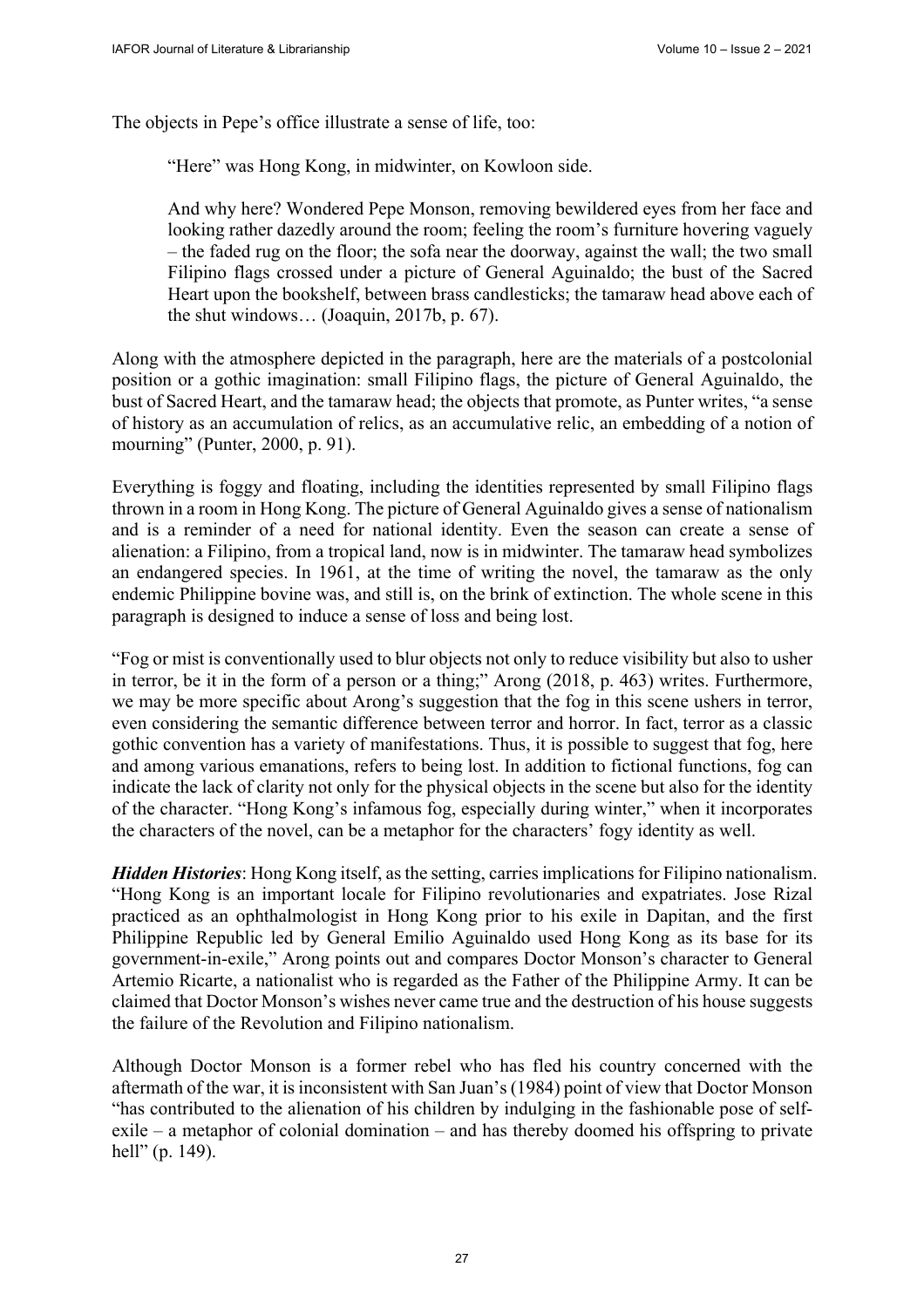The objects in Pepe's office illustrate a sense of life, too:

"Here" was Hong Kong, in midwinter, on Kowloon side.

And why here? Wondered Pepe Monson, removing bewildered eyes from her face and looking rather dazedly around the room; feeling the room's furniture hovering vaguely – the faded rug on the floor; the sofa near the doorway, against the wall; the two small Filipino flags crossed under a picture of General Aguinaldo; the bust of the Sacred Heart upon the bookshelf, between brass candlesticks; the tamaraw head above each of the shut windows… (Joaquin, 2017b, p. 67).

Along with the atmosphere depicted in the paragraph, here are the materials of a postcolonial position or a gothic imagination: small Filipino flags, the picture of General Aguinaldo, the bust of Sacred Heart, and the tamaraw head; the objects that promote, as Punter writes, "a sense of history as an accumulation of relics, as an accumulative relic, an embedding of a notion of mourning" (Punter, 2000, p. 91).

Everything is foggy and floating, including the identities represented by small Filipino flags thrown in a room in Hong Kong. The picture of General Aguinaldo gives a sense of nationalism and is a reminder of a need for national identity. Even the season can create a sense of alienation: a Filipino, from a tropical land, now is in midwinter. The tamaraw head symbolizes an endangered species. In 1961, at the time of writing the novel, the tamaraw as the only endemic Philippine bovine was, and still is, on the brink of extinction. The whole scene in this paragraph is designed to induce a sense of loss and being lost.

"Fog or mist is conventionally used to blur objects not only to reduce visibility but also to usher in terror, be it in the form of a person or a thing;" Arong (2018, p. 463) writes. Furthermore, we may be more specific about Arong's suggestion that the fog in this scene ushers in terror, even considering the semantic difference between terror and horror. In fact, terror as a classic gothic convention has a variety of manifestations. Thus, it is possible to suggest that fog, here and among various emanations, refers to being lost. In addition to fictional functions, fog can indicate the lack of clarity not only for the physical objects in the scene but also for the identity of the character. "Hong Kong's infamous fog, especially during winter," when it incorporates the characters of the novel, can be a metaphor for the characters' fogy identity as well.

*Hidden Histories*: Hong Kong itself, as the setting, carries implications for Filipino nationalism. "Hong Kong is an important locale for Filipino revolutionaries and expatriates. Jose Rizal practiced as an ophthalmologist in Hong Kong prior to his exile in Dapitan, and the first Philippine Republic led by General Emilio Aguinaldo used Hong Kong as its base for its government-in-exile," Arong points out and compares Doctor Monson's character to General Artemio Ricarte, a nationalist who is regarded as the Father of the Philippine Army. It can be claimed that Doctor Monson's wishes never came true and the destruction of his house suggests the failure of the Revolution and Filipino nationalism.

Although Doctor Monson is a former rebel who has fled his country concerned with the aftermath of the war, it is inconsistent with San Juan's (1984) point of view that Doctor Monson "has contributed to the alienation of his children by indulging in the fashionable pose of selfexile – a metaphor of colonial domination – and has thereby doomed his offspring to private hell" (p. 149).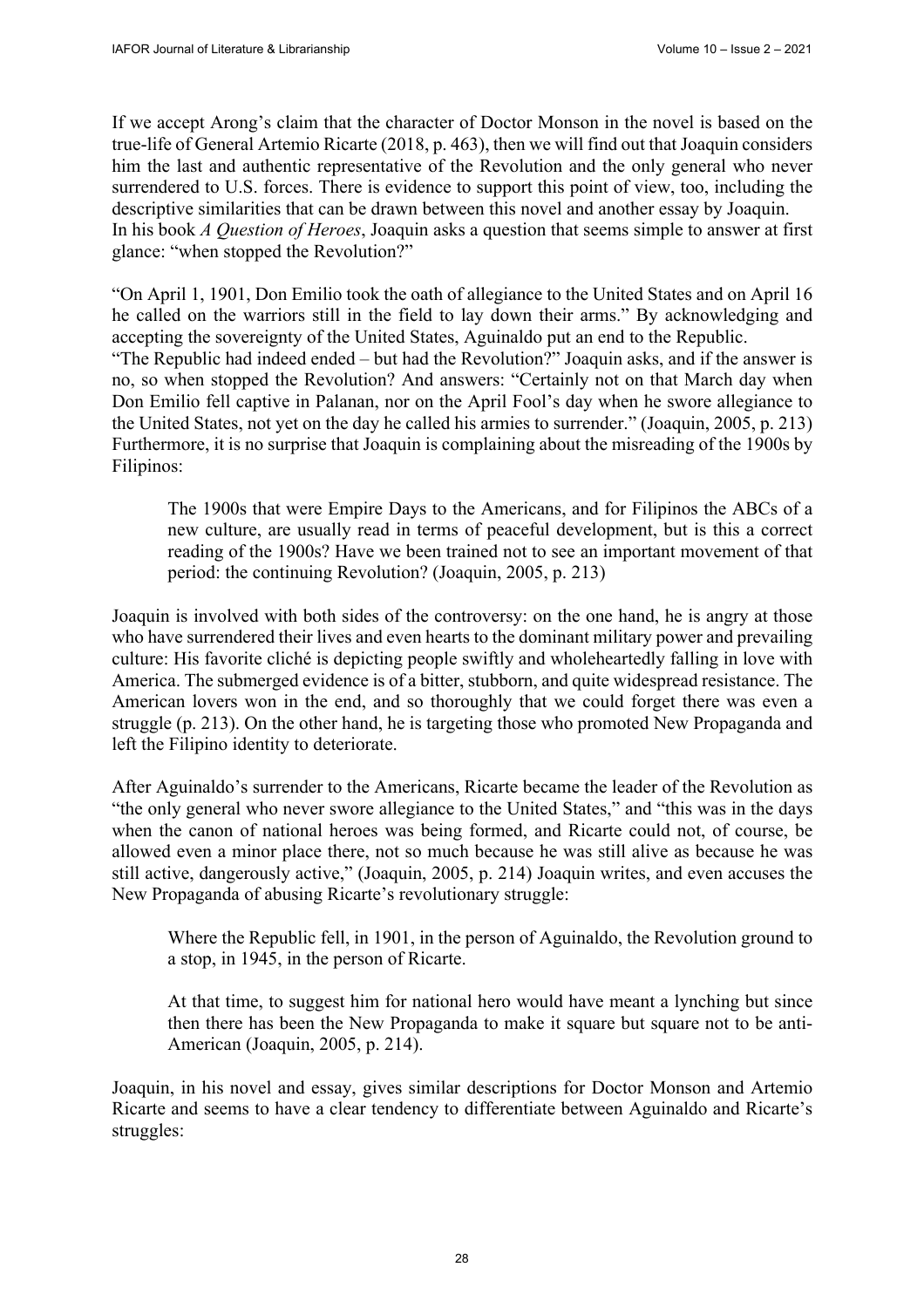If we accept Arong's claim that the character of Doctor Monson in the novel is based on the true-life of General Artemio Ricarte (2018, p. 463), then we will find out that Joaquin considers him the last and authentic representative of the Revolution and the only general who never surrendered to U.S. forces. There is evidence to support this point of view, too, including the descriptive similarities that can be drawn between this novel and another essay by Joaquin. In his book *A Question of Heroes*, Joaquin asks a question that seems simple to answer at first glance: "when stopped the Revolution?"

"On April 1, 1901, Don Emilio took the oath of allegiance to the United States and on April 16 he called on the warriors still in the field to lay down their arms." By acknowledging and accepting the sovereignty of the United States, Aguinaldo put an end to the Republic. "The Republic had indeed ended – but had the Revolution?" Joaquin asks, and if the answer is no, so when stopped the Revolution? And answers: "Certainly not on that March day when Don Emilio fell captive in Palanan, nor on the April Fool's day when he swore allegiance to the United States, not yet on the day he called his armies to surrender." (Joaquin, 2005, p. 213) Furthermore, it is no surprise that Joaquin is complaining about the misreading of the 1900s by Filipinos:

The 1900s that were Empire Days to the Americans, and for Filipinos the ABCs of a new culture, are usually read in terms of peaceful development, but is this a correct reading of the 1900s? Have we been trained not to see an important movement of that period: the continuing Revolution? (Joaquin, 2005, p. 213)

Joaquin is involved with both sides of the controversy: on the one hand, he is angry at those who have surrendered their lives and even hearts to the dominant military power and prevailing culture: His favorite cliché is depicting people swiftly and wholeheartedly falling in love with America. The submerged evidence is of a bitter, stubborn, and quite widespread resistance. The American lovers won in the end, and so thoroughly that we could forget there was even a struggle (p. 213). On the other hand, he is targeting those who promoted New Propaganda and left the Filipino identity to deteriorate.

After Aguinaldo's surrender to the Americans, Ricarte became the leader of the Revolution as "the only general who never swore allegiance to the United States," and "this was in the days when the canon of national heroes was being formed, and Ricarte could not, of course, be allowed even a minor place there, not so much because he was still alive as because he was still active, dangerously active," (Joaquin, 2005, p. 214) Joaquin writes, and even accuses the New Propaganda of abusing Ricarte's revolutionary struggle:

Where the Republic fell, in 1901, in the person of Aguinaldo, the Revolution ground to a stop, in 1945, in the person of Ricarte.

At that time, to suggest him for national hero would have meant a lynching but since then there has been the New Propaganda to make it square but square not to be anti-American (Joaquin, 2005, p. 214).

Joaquin, in his novel and essay, gives similar descriptions for Doctor Monson and Artemio Ricarte and seems to have a clear tendency to differentiate between Aguinaldo and Ricarte's struggles: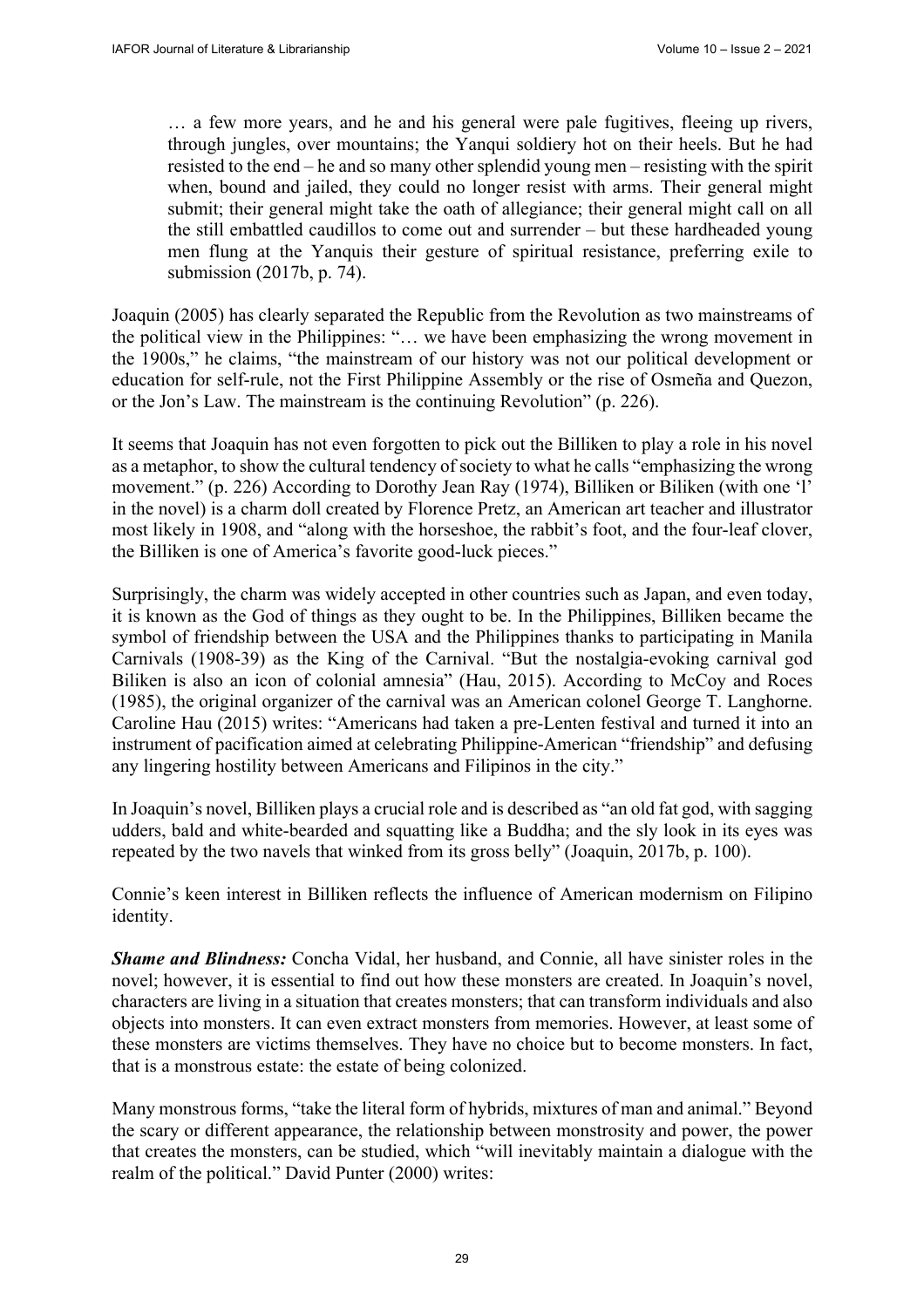… a few more years, and he and his general were pale fugitives, fleeing up rivers, through jungles, over mountains; the Yanqui soldiery hot on their heels. But he had resisted to the end – he and so many other splendid young men – resisting with the spirit when, bound and jailed, they could no longer resist with arms. Their general might submit; their general might take the oath of allegiance; their general might call on all the still embattled caudillos to come out and surrender – but these hardheaded young men flung at the Yanquis their gesture of spiritual resistance, preferring exile to submission (2017b, p. 74).

Joaquin (2005) has clearly separated the Republic from the Revolution as two mainstreams of the political view in the Philippines: "… we have been emphasizing the wrong movement in the 1900s," he claims, "the mainstream of our history was not our political development or education for self-rule, not the First Philippine Assembly or the rise of Osmeña and Quezon, or the Jon's Law. The mainstream is the continuing Revolution" (p. 226).

It seems that Joaquin has not even forgotten to pick out the Billiken to play a role in his novel as a metaphor, to show the cultural tendency of society to what he calls "emphasizing the wrong movement." (p. 226) According to Dorothy Jean Ray (1974), Billiken or Biliken (with one 'l' in the novel) is a charm doll created by Florence Pretz, an American art teacher and illustrator most likely in 1908, and "along with the horseshoe, the rabbit's foot, and the four-leaf clover, the Billiken is one of America's favorite good-luck pieces."

Surprisingly, the charm was widely accepted in other countries such as Japan, and even today, it is known as the God of things as they ought to be. In the Philippines, Billiken became the symbol of friendship between the USA and the Philippines thanks to participating in Manila Carnivals (1908-39) as the King of the Carnival. "But the nostalgia-evoking carnival god Biliken is also an icon of colonial amnesia" (Hau, 2015). According to McCoy and Roces (1985), the original organizer of the carnival was an American colonel George T. Langhorne. Caroline Hau (2015) writes: "Americans had taken a pre-Lenten festival and turned it into an instrument of pacification aimed at celebrating Philippine-American "friendship" and defusing any lingering hostility between Americans and Filipinos in the city."

In Joaquin's novel, Billiken plays a crucial role and is described as "an old fat god, with sagging udders, bald and white-bearded and squatting like a Buddha; and the sly look in its eyes was repeated by the two navels that winked from its gross belly" (Joaquin, 2017b, p. 100).

Connie's keen interest in Billiken reflects the influence of American modernism on Filipino identity.

*Shame and Blindness:* Concha Vidal, her husband, and Connie, all have sinister roles in the novel; however, it is essential to find out how these monsters are created. In Joaquin's novel, characters are living in a situation that creates monsters; that can transform individuals and also objects into monsters. It can even extract monsters from memories. However, at least some of these monsters are victims themselves. They have no choice but to become monsters. In fact, that is a monstrous estate: the estate of being colonized.

Many monstrous forms, "take the literal form of hybrids, mixtures of man and animal." Beyond the scary or different appearance, the relationship between monstrosity and power, the power that creates the monsters, can be studied, which "will inevitably maintain a dialogue with the realm of the political." David Punter (2000) writes: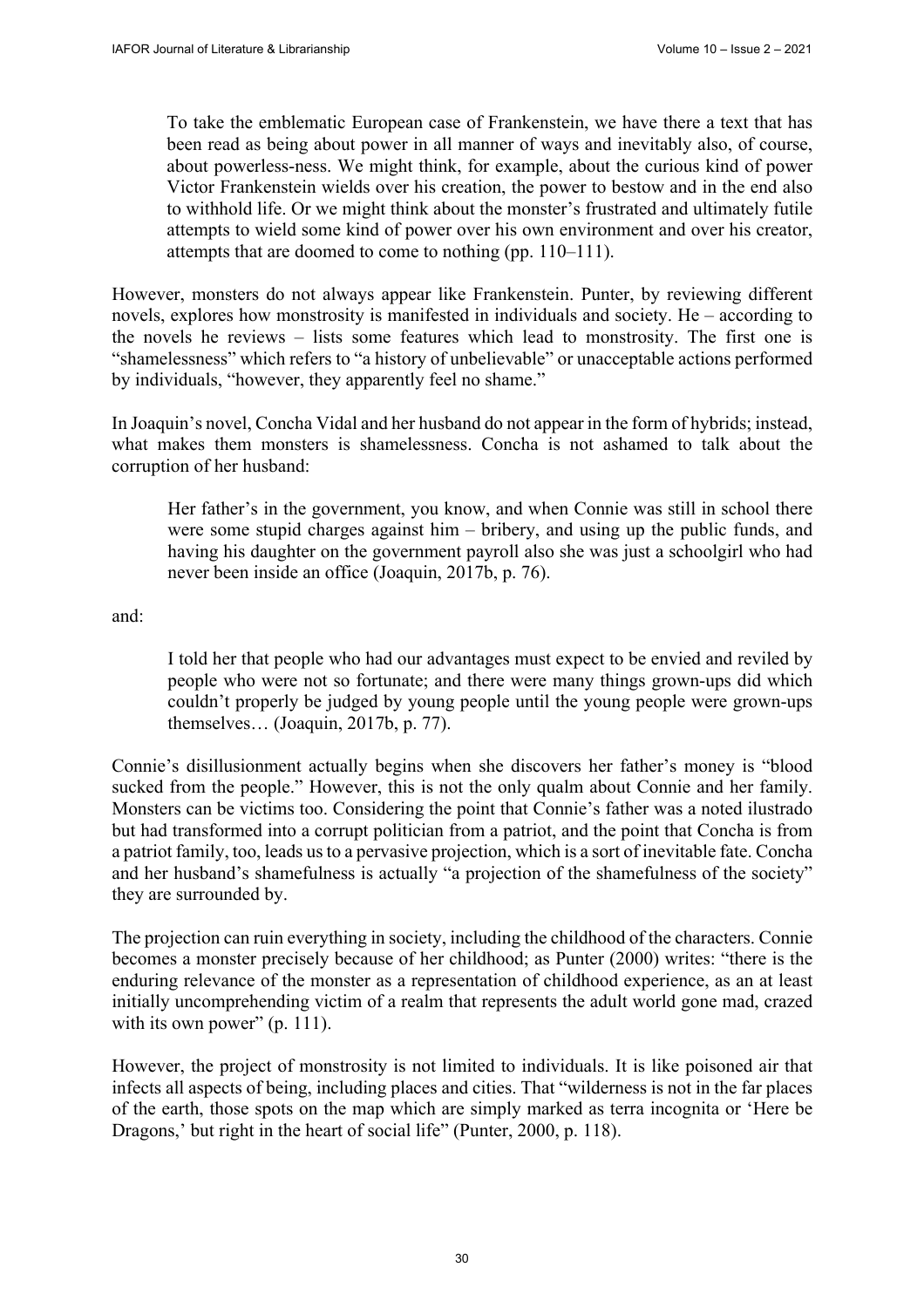To take the emblematic European case of Frankenstein, we have there a text that has been read as being about power in all manner of ways and inevitably also, of course, about powerless-ness. We might think, for example, about the curious kind of power Victor Frankenstein wields over his creation, the power to bestow and in the end also to withhold life. Or we might think about the monster's frustrated and ultimately futile attempts to wield some kind of power over his own environment and over his creator, attempts that are doomed to come to nothing (pp. 110–111).

However, monsters do not always appear like Frankenstein. Punter, by reviewing different novels, explores how monstrosity is manifested in individuals and society. He – according to the novels he reviews – lists some features which lead to monstrosity. The first one is "shamelessness" which refers to "a history of unbelievable" or unacceptable actions performed by individuals, "however, they apparently feel no shame."

In Joaquin's novel, Concha Vidal and her husband do not appear in the form of hybrids; instead, what makes them monsters is shamelessness. Concha is not ashamed to talk about the corruption of her husband:

Her father's in the government, you know, and when Connie was still in school there were some stupid charges against him – bribery, and using up the public funds, and having his daughter on the government payroll also she was just a schoolgirl who had never been inside an office (Joaquin, 2017b, p. 76).

and:

I told her that people who had our advantages must expect to be envied and reviled by people who were not so fortunate; and there were many things grown-ups did which couldn't properly be judged by young people until the young people were grown-ups themselves… (Joaquin, 2017b, p. 77).

Connie's disillusionment actually begins when she discovers her father's money is "blood sucked from the people." However, this is not the only qualm about Connie and her family. Monsters can be victims too. Considering the point that Connie's father was a noted ilustrado but had transformed into a corrupt politician from a patriot, and the point that Concha is from a patriot family, too, leads us to a pervasive projection, which is a sort of inevitable fate. Concha and her husband's shamefulness is actually "a projection of the shamefulness of the society" they are surrounded by.

The projection can ruin everything in society, including the childhood of the characters. Connie becomes a monster precisely because of her childhood; as Punter (2000) writes: "there is the enduring relevance of the monster as a representation of childhood experience, as an at least initially uncomprehending victim of a realm that represents the adult world gone mad, crazed with its own power" (p. 111).

However, the project of monstrosity is not limited to individuals. It is like poisoned air that infects all aspects of being, including places and cities. That "wilderness is not in the far places of the earth, those spots on the map which are simply marked as terra incognita or 'Here be Dragons,' but right in the heart of social life" (Punter, 2000, p. 118).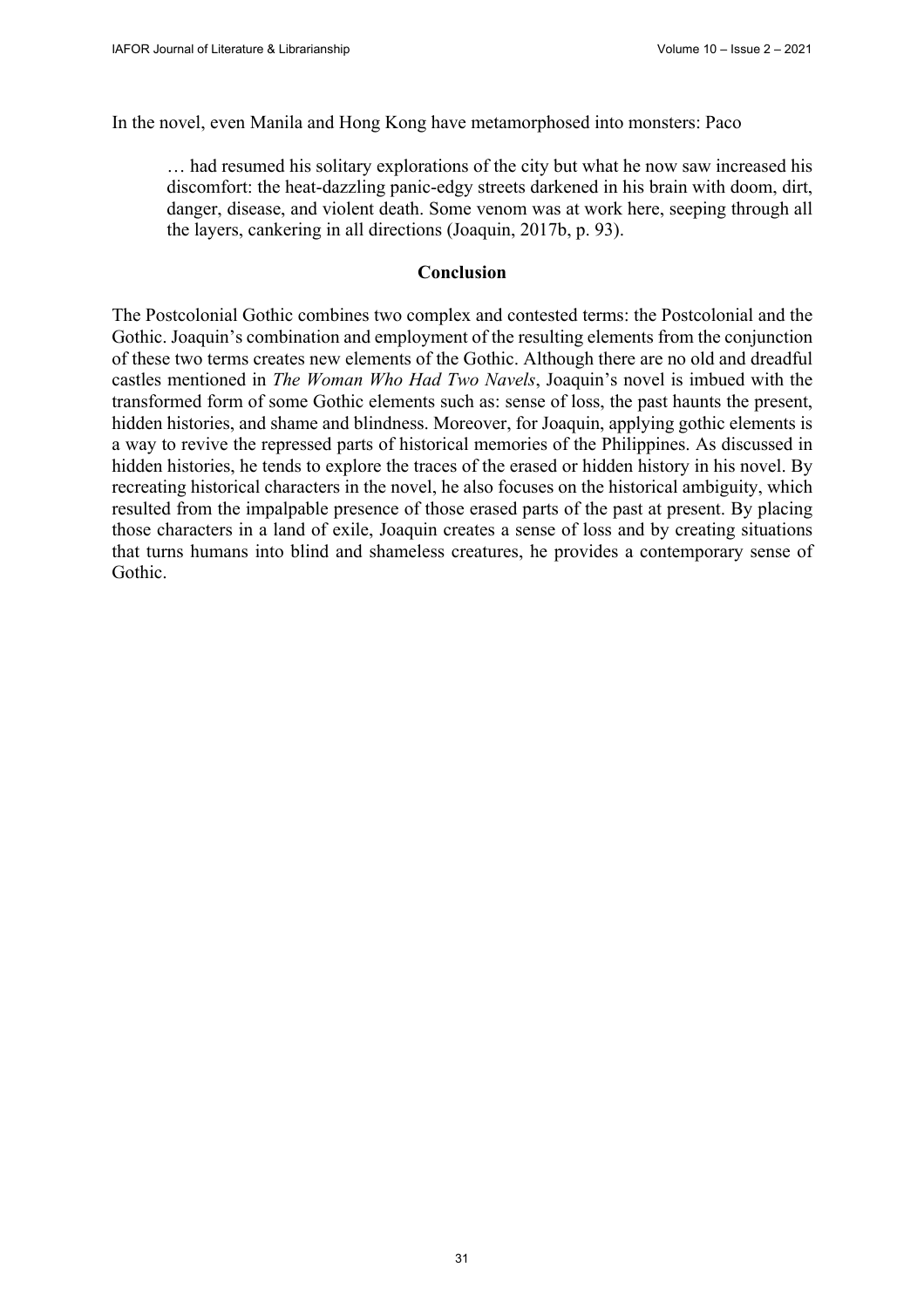In the novel, even Manila and Hong Kong have metamorphosed into monsters: Paco

… had resumed his solitary explorations of the city but what he now saw increased his discomfort: the heat-dazzling panic-edgy streets darkened in his brain with doom, dirt, danger, disease, and violent death. Some venom was at work here, seeping through all the layers, cankering in all directions (Joaquin, 2017b, p. 93).

#### **Conclusion**

The Postcolonial Gothic combines two complex and contested terms: the Postcolonial and the Gothic. Joaquin's combination and employment of the resulting elements from the conjunction of these two terms creates new elements of the Gothic. Although there are no old and dreadful castles mentioned in *The Woman Who Had Two Navels*, Joaquin's novel is imbued with the transformed form of some Gothic elements such as: sense of loss, the past haunts the present, hidden histories, and shame and blindness. Moreover, for Joaquin, applying gothic elements is a way to revive the repressed parts of historical memories of the Philippines. As discussed in hidden histories, he tends to explore the traces of the erased or hidden history in his novel. By recreating historical characters in the novel, he also focuses on the historical ambiguity, which resulted from the impalpable presence of those erased parts of the past at present. By placing those characters in a land of exile, Joaquin creates a sense of loss and by creating situations that turns humans into blind and shameless creatures, he provides a contemporary sense of Gothic.